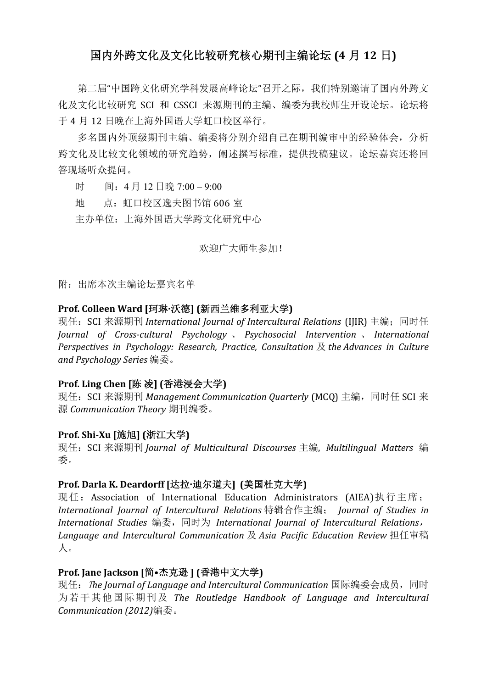# 国内外跨文化及文化比较研究核心期刊主编论坛 (4 月 12 日)

第二届"中国跨文化研究学科发展高峰论坛"召开之际,我们特别邀请了国内外跨文 化及文化比较研究 SCI 和 CSSCI 来源期刊的主编、编委为我校师生开设论坛。论坛将 于 4 月 12 日晚在上海外国语大学虹口校区举行。

多名国内外顶级期刊主编、编委将分别介绍自己在期刊编审中的经验体会,分析 跨文化及比较文化领域的研究趋势,阐述撰写标准,提供投稿建议。论坛嘉宾还将回 答现场听众提问。

时 间:4 月 12 日晚 7:00 – 9:00

地 点:虹口校区逸夫图书馆 606 室

主办单位:上海外国语大学跨文化研究中心

欢迎广大师生参加!

附:出席本次主编论坛嘉宾名单

### Prof. Colleen Ward [珂琳·沃德] (新西兰维多利亚大学)

现任: SCI 来源期刊 *International Journal of Intercultural Relations* (IJIR) 主编; 同时任 *Journal of Cross-cultural Psychology* 、 *Psychosocial Intervention* 、 *International Perspectives in Psychology: Research, Practice, Consultation* 及 *the Advances in Culture and Psychology Series* 编委。

#### Prof. Ling Chen [陈 凌] (香港浸会大学)

现任: SCI 来源期刊 *Management Communication Quarterly* (MCQ) 主编, 同时任 SCI 来 源 *Communication Theory* 期刊编委。

#### Prof. Shi-Xu [施旭] (浙江大学)

现任:SCI 来源期刊 *Journal of Multicultural Discourses* 主编, *Multilingual Matters* 编 委。

### Prof. Darla K. Deardorff [达拉·迪尔道夫] (美国杜克大学)

现任: Association of International Education Administrators (AIEA)执行主席; *International Journal of Intercultural Relations* 特辑合作主编; *Journal of Studies in International Studies* 编委,同时为 *International Journal of Intercultural Relations*, *Language and Intercultural Communication* 及 *Asia Pacific Education Review* 担任审稿 人。

### Prof. Jane Jackson [简•杰克逊 ] (香港中文大学)

现任:T*he Journal of Language and Intercultural Communication* 国际编委会成员,同时 为若干其他国际期刊及 *The Routledge Handbook of Language and Intercultural Communication (2012)*编委。